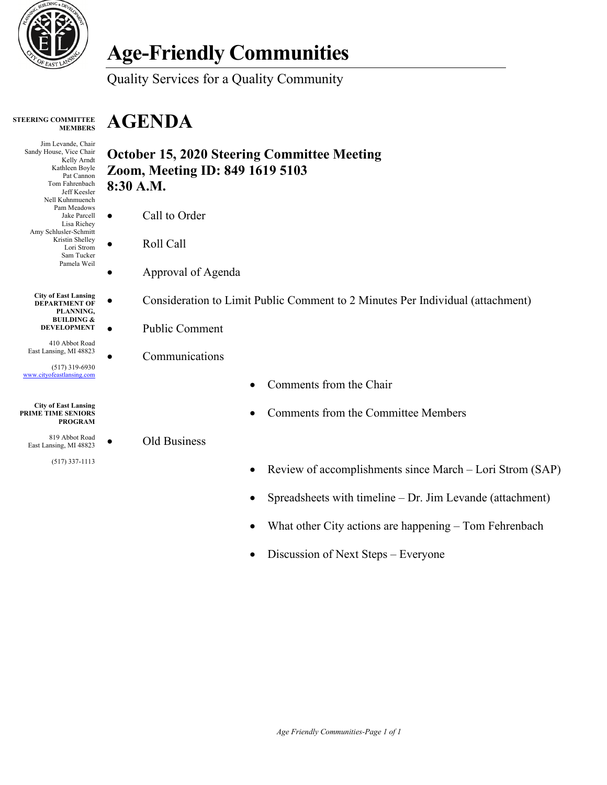

# **Age-Friendly Communities**

Quality Services for a Quality Community

#### **STEERING COMMITTEE MEMBERS**

## **AGENDA**

Jim Levande, Chair Sandy House, Vice Chair Kelly Arndt Kathleen Boyle Pat Cannon Tom Fahrenbach Jeff Keesler Nell Kuhnmuench Pam Meadows Jake Parcell Lisa Richey Amy Schlusler-Schmitt Kristin Shelley Lori Strom Sam Tucker Pamela Weil

> **City of East Lansing DEPARTMENT OF PLANNING, BUILDING & DEVELOPMENT**

410 Abbot Road East Lansing, MI 48823

(517) 319-6930 [www.cityofeastlansing.com](http://www.cityofeastlansing.com/)

#### **City of East Lansing PRIME TIME SENIORS PROGRAM**

819 Abbot Road East Lansing, MI 48823

(517) 337-1113

### **October 15, 2020 Steering Committee Meeting Zoom, Meeting ID: 849 1619 5103 8:30 A.M.**

- Call to Order
- Roll Call
	- Approval of Agenda
- Consideration to Limit Public Comment to 2 Minutes Per Individual (attachment)
- Public Comment
	- **Communications**

• Old Business

- Comments from the Chair
- Comments from the Committee Members
- Review of accomplishments since March Lori Strom (SAP)
- Spreadsheets with timeline Dr. Jim Levande (attachment)
- What other City actions are happening Tom Fehrenbach
- Discussion of Next Steps Everyone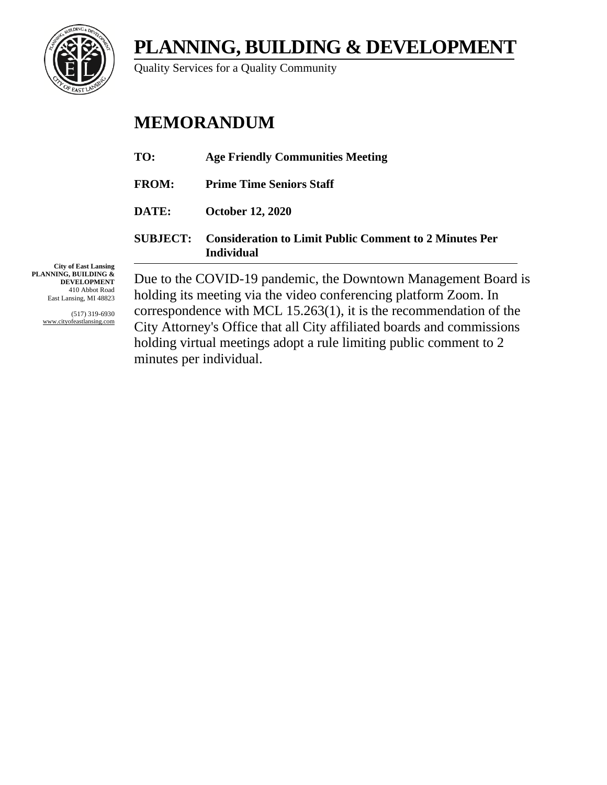**PLANNING, BUILDING & DEVELOPMENT**



Quality Services for a Quality Community

### **MEMORANDUM**

|                 | Due to the COVID-19 pandemic, the Downtown Management Bo.                          |
|-----------------|------------------------------------------------------------------------------------|
| <b>SUBJECT:</b> | <b>Consideration to Limit Public Comment to 2 Minutes Per</b><br><b>Individual</b> |
| DATE:           | <b>October 12, 2020</b>                                                            |
| <b>FROM:</b>    | <b>Prime Time Seniors Staff</b>                                                    |
| TO:             | <b>Age Friendly Communities Meeting</b>                                            |

**City of East Lansing PLANNING, BUILDING & DEVELOPMENT** 410 Abbot Road East Lansing, MI 48823

> (517) 319-6930 www.cityofeastlansing.com

Due to the COVID-19 pandemic, the Downtown Management Board is holding its meeting via the video conferencing platform Zoom. In correspondence with MCL 15.263(1), it is the recommendation of the City Attorney's Office that all City affiliated boards and commissions holding virtual meetings adopt a rule limiting public comment to 2 minutes per individual.